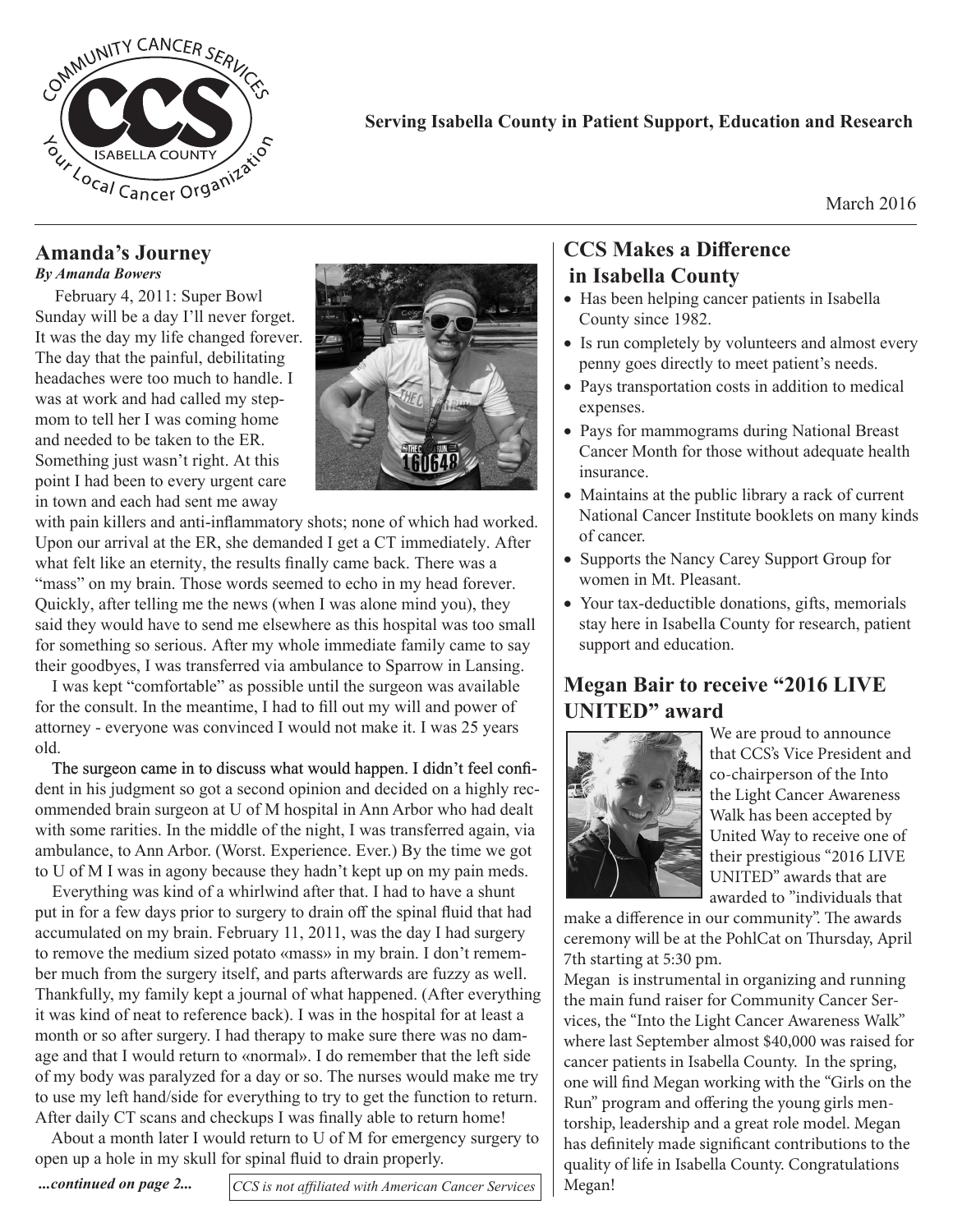

#### **Serving Isabella County in Patient Support, Education and Research**

March 2016

#### **Amanda's Journey** *By Amanda Bowers*

 February 4, 2011: Super Bowl Sunday will be a day I'll never forget. It was the day my life changed forever. The day that the painful, debilitating headaches were too much to handle. I was at work and had called my stepmom to tell her I was coming home and needed to be taken to the ER. Something just wasn't right. At this point I had been to every urgent care in town and each had sent me away



with pain killers and anti-inflammatory shots; none of which had worked. Upon our arrival at the ER, she demanded I get a CT immediately. After what felt like an eternity, the results finally came back. There was a "mass" on my brain. Those words seemed to echo in my head forever. Quickly, after telling me the news (when I was alone mind you), they said they would have to send me elsewhere as this hospital was too small for something so serious. After my whole immediate family came to say their goodbyes, I was transferred via ambulance to Sparrow in Lansing.

I was kept "comfortable" as possible until the surgeon was available for the consult. In the meantime, I had to fill out my will and power of attorney - everyone was convinced I would not make it. I was 25 years old.

The surgeon came in to discuss what would happen. I didn't feel confident in his judgment so got a second opinion and decided on a highly recommended brain surgeon at U of M hospital in Ann Arbor who had dealt with some rarities. In the middle of the night, I was transferred again, via ambulance, to Ann Arbor. (Worst. Experience. Ever.) By the time we got to U of M I was in agony because they hadn't kept up on my pain meds.

Everything was kind of a whirlwind after that. I had to have a shunt put in for a few days prior to surgery to drain off the spinal fluid that had accumulated on my brain. February 11, 2011, was the day I had surgery to remove the medium sized potato «mass» in my brain. I don't remember much from the surgery itself, and parts afterwards are fuzzy as well. Thankfully, my family kept a journal of what happened. (After everything it was kind of neat to reference back). I was in the hospital for at least a month or so after surgery. I had therapy to make sure there was no damage and that I would return to «normal». I do remember that the left side of my body was paralyzed for a day or so. The nurses would make me try to use my left hand/side for everything to try to get the function to return. After daily CT scans and checkups I was finally able to return home!

About a month later I would return to U of M for emergency surgery to open up a hole in my skull for spinal fluid to drain properly.

*CCS is not affiliated with American Cancer Services ...continued on page 2...*

## **CCS Makes a Difference in Isabella County**

- Has been helping cancer patients in Isabella County since 1982.
- Is run completely by volunteers and almost every penny goes directly to meet patient's needs.
- Pays transportation costs in addition to medical expenses.
- Pays for mammograms during National Breast Cancer Month for those without adequate health insurance.
- Maintains at the public library a rack of current National Cancer Institute booklets on many kinds of cancer.
- Supports the Nancy Carey Support Group for women in Mt. Pleasant.
- Your tax-deductible donations, gifts, memorials stay here in Isabella County for research, patient support and education.

## **Megan Bair to receive "2016 LIVE UNITED" award**



We are proud to announce that CCS's Vice President and co-chairperson of the Into the Light Cancer Awareness Walk has been accepted by United Way to receive one of their prestigious "2016 LIVE UNITED" awards that are awarded to "individuals that

make a difference in our community". The awards ceremony will be at the PohlCat on Thursday, April 7th starting at 5:30 pm.

Megan is instrumental in organizing and running the main fund raiser for Community Cancer Services, the "Into the Light Cancer Awareness Walk" where last September almost \$40,000 was raised for cancer patients in Isabella County. In the spring, one will find Megan working with the "Girls on the Run" program and offering the young girls mentorship, leadership and a great role model. Megan has definitely made significant contributions to the quality of life in Isabella County. Congratulations Megan!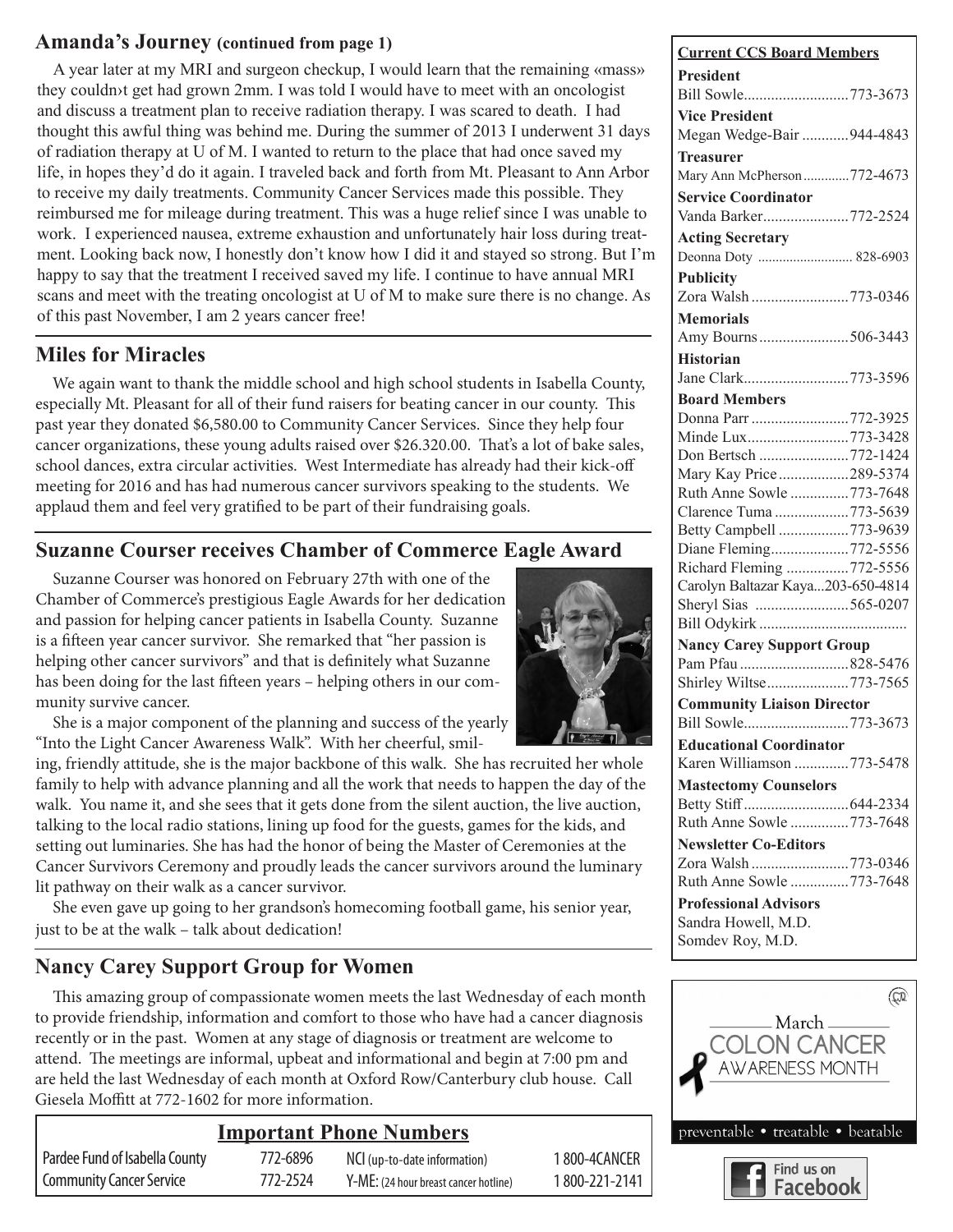#### Amanda's Journey (continued from page 1)

A year later at my MRI and surgeon checkup, I would learn that the remaining «mass» they couldn›t get had grown 2mm. I was told I would have to meet with an oncologist and discuss a treatment plan to receive radiation therapy. I was scared to death. I had thought this awful thing was behind me. During the summer of 2013 I underwent 31 days of radiation therapy at U of M. I wanted to return to the place that had once saved my life, in hopes they'd do it again. I traveled back and forth from Mt. Pleasant to Ann Arbor to receive my daily treatments. Community Cancer Services made this possible. They reimbursed me for mileage during treatment. This was a huge relief since I was unable to work. I experienced nausea, extreme exhaustion and unfortunately hair loss during treatment. Looking back now, I honestly don't know how I did it and stayed so strong. But I'm happy to say that the treatment I received saved my life. I continue to have annual MRI scans and meet with the treating oncologist at U of M to make sure there is no change. As of this past November, I am 2 years cancer free!

## **Miles for Miracles**

We again want to thank the middle school and high school students in Isabella County, especially Mt. Pleasant for all of their fund raisers for beating cancer in our county. This past year they donated \$6,580.00 to Community Cancer Services. Since they help four cancer organizations, these young adults raised over \$26.320.00. That's a lot of bake sales, school dances, extra circular activities. West Intermediate has already had their kick-off meeting for 2016 and has had numerous cancer survivors speaking to the students. We applaud them and feel very gratified to be part of their fundraising goals.

## **Suzanne Courser receives Chamber of Commerce Eagle Award**

Suzanne Courser was honored on February 27th with one of the Chamber of Commerce's prestigious Eagle Awards for her dedication and passion for helping cancer patients in Isabella County. Suzanne is a fifteen year cancer survivor. She remarked that "her passion is helping other cancer survivors" and that is definitely what Suzanne has been doing for the last fifteen years – helping others in our community survive cancer.

She is a major component of the planning and success of the yearly "Into the Light Cancer Awareness Walk". With her cheerful, smil-

ing, friendly attitude, she is the major backbone of this walk. She has recruited her whole family to help with advance planning and all the work that needs to happen the day of the walk. You name it, and she sees that it gets done from the silent auction, the live auction, talking to the local radio stations, lining up food for the guests, games for the kids, and setting out luminaries. She has had the honor of being the Master of Ceremonies at the Cancer Survivors Ceremony and proudly leads the cancer survivors around the luminary lit pathway on their walk as a cancer survivor.

She even gave up going to her grandson's homecoming football game, his senior year, just to be at the walk – talk about dedication!

## **Nancy Carey Support Group for Women**

This amazing group of compassionate women meets the last Wednesday of each month to provide friendship, information and comfort to those who have had a cancer diagnosis recently or in the past. Women at any stage of diagnosis or treatment are welcome to attend. The meetings are informal, upbeat and informational and begin at 7:00 pm and are held the last Wednesday of each month at Oxford Row/Canterbury club house. Call Giesela Moffitt at 772-1602 for more information.

#### **Important Phone Numbers** Pardee Fund of Isabella County 772-6896 Community Cancer Service 772-2524 NCI (up-to-date information) 1 800-4CANCER Y-ME: (24 hour breast cancer hotline) 1 800-221-2141

| <b>Current CCS Board Members</b>                |
|-------------------------------------------------|
| <b>President</b>                                |
| Bill Sowle773-3673                              |
| <b>Vice President</b>                           |
| Megan Wedge-Bair 944-4843                       |
| <b>Treasurer</b>                                |
| Mary Ann McPherson 772-4673                     |
| <b>Service Coordinator</b>                      |
|                                                 |
| Vanda Barker772-2524                            |
| <b>Acting Secretary</b>                         |
| Deonna Doty  828-6903                           |
| <b>Publicity</b>                                |
| Zora Walsh 773-0346                             |
| <b>Memorials</b>                                |
| Amy Bourns506-3443                              |
| <b>Historian</b>                                |
| Jane Clark773-3596                              |
| <b>Board Members</b>                            |
| Donna Parr 772-3925                             |
| Minde Lux773-3428                               |
| Don Bertsch 772-1424                            |
| Mary Kay Price289-5374                          |
| Ruth Anne Sowle 773-7648                        |
| Clarence Tuma 773-5639                          |
| Betty Campbell 773-9639                         |
| Diane Fleming772-5556                           |
| Richard Fleming 772-5556                        |
| Carolyn Baltazar Kaya203-650-4814               |
| Sheryl Sias 565-0207                            |
|                                                 |
| <b>Nancy Carey Support Group</b>                |
| Pam Pfau 828-5476                               |
| Shirley Wiltse773-7565                          |
| <b>Community Liaison Director</b>               |
| Bill Sowle773-3673                              |
| <b>Educational Coordinator</b>                  |
| Karen Williamson 773-5478                       |
| <b>Mastectomy Counselors</b>                    |
|                                                 |
| Ruth Anne Sowle 773-7648                        |
| <b>Newsletter Co-Editors</b>                    |
|                                                 |
| Zora Walsh 773-0346<br>Ruth Anne Sowle 773-7648 |
|                                                 |
| <b>Professional Advisors</b>                    |
| Sandra Howell, M.D.                             |
| Somdev Roy, M.D.                                |



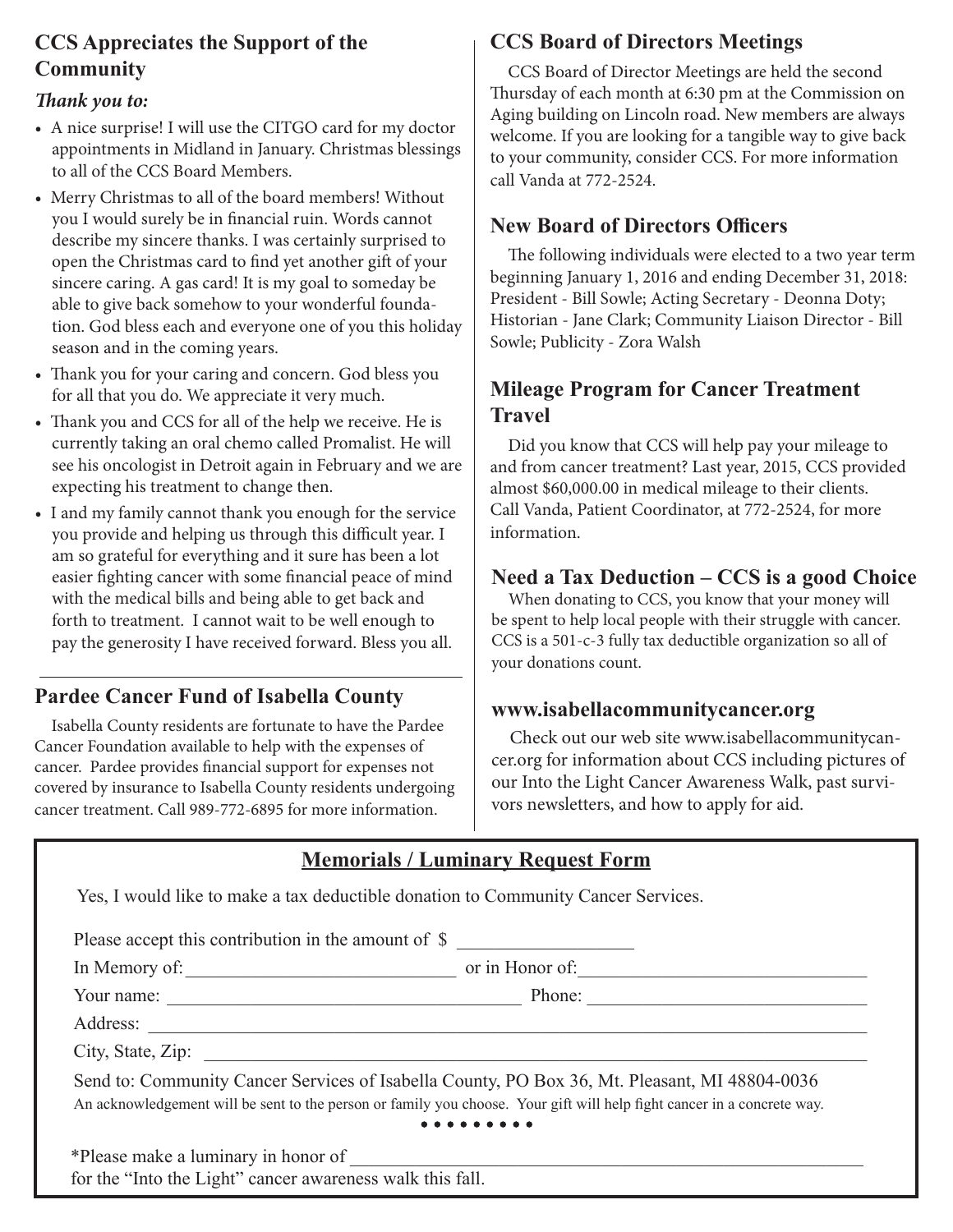## **CCS Appreciates the Support of the Community**

#### *Thank you to:*

- A nice surprise! I will use the CITGO card for my doctor appointments in Midland in January. Christmas blessings to all of the CCS Board Members.
- Merry Christmas to all of the board members! Without you I would surely be in financial ruin. Words cannot describe my sincere thanks. I was certainly surprised to open the Christmas card to find yet another gift of your sincere caring. A gas card! It is my goal to someday be able to give back somehow to your wonderful foundation. God bless each and everyone one of you this holiday season and in the coming years.
- Thank you for your caring and concern. God bless you for all that you do. We appreciate it very much.
- Thank you and CCS for all of the help we receive. He is currently taking an oral chemo called Promalist. He will see his oncologist in Detroit again in February and we are expecting his treatment to change then.
- I and my family cannot thank you enough for the service you provide and helping us through this difficult year. I am so grateful for everything and it sure has been a lot easier fighting cancer with some financial peace of mind with the medical bills and being able to get back and forth to treatment. I cannot wait to be well enough to pay the generosity I have received forward. Bless you all.

# **Pardee Cancer Fund of Isabella County**

Isabella County residents are fortunate to have the Pardee Cancer Foundation available to help with the expenses of cancer. Pardee provides financial support for expenses not covered by insurance to Isabella County residents undergoing cancer treatment. Call 989-772-6895 for more information.

## **CCS Board of Directors Meetings**

CCS Board of Director Meetings are held the second Thursday of each month at 6:30 pm at the Commission on Aging building on Lincoln road. New members are always welcome. If you are looking for a tangible way to give back to your community, consider CCS. For more information call Vanda at 772-2524.

## **New Board of Directors Officers**

The following individuals were elected to a two year term beginning January 1, 2016 and ending December 31, 2018: President - Bill Sowle; Acting Secretary - Deonna Doty; Historian - Jane Clark; Community Liaison Director - Bill Sowle; Publicity - Zora Walsh

## **Mileage Program for Cancer Treatment Travel**

Did you know that CCS will help pay your mileage to and from cancer treatment? Last year, 2015, CCS provided almost \$60,000.00 in medical mileage to their clients. Call Vanda, Patient Coordinator, at 772-2524, for more information.

## **Need a Tax Deduction – CCS is a good Choice**

When donating to CCS, you know that your money will be spent to help local people with their struggle with cancer. CCS is a 501-c-3 fully tax deductible organization so all of your donations count.

#### **www.isabellacommunitycancer.org**

Check out our web site www.isabellacommunitycancer.org for information about CCS including pictures of our Into the Light Cancer Awareness Walk, past survivors newsletters, and how to apply for aid.

| Please accept this contribution in the amount of \$                                                                     |
|-------------------------------------------------------------------------------------------------------------------------|
|                                                                                                                         |
|                                                                                                                         |
|                                                                                                                         |
|                                                                                                                         |
| Send to: Community Cancer Services of Isabella County, PO Box 36, Mt. Pleasant, MI 48804-0036                           |
| An acknowledgement will be sent to the person or family you choose. Your gift will help fight cancer in a concrete way. |